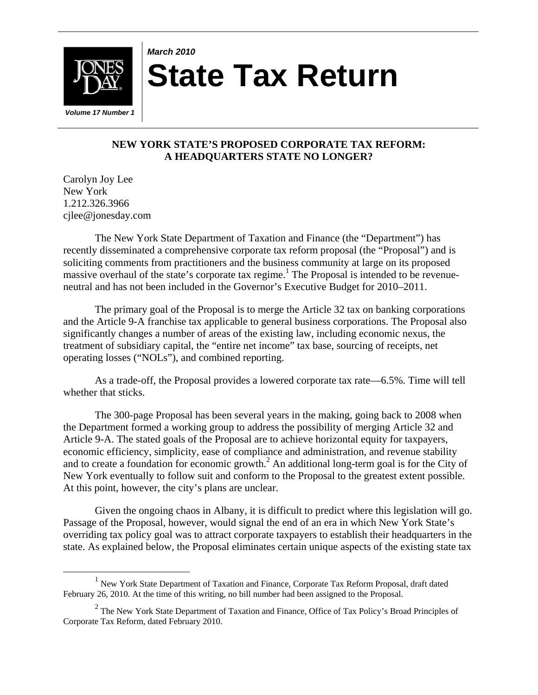

# *March 2010* **State Tax Return**

## **NEW YORK STATE'S PROPOSED CORPORATE TAX REFORM: A HEADQUARTERS STATE NO LONGER?**

Carolyn Joy Lee New York 1.212.326.3966 cjlee@jonesday.com

The New York State Department of Taxation and Finance (the "Department") has recently disseminated a comprehensive corporate tax reform proposal (the "Proposal") and is soliciting comments from practitioners and the business community at large on its proposed massive overhaul of the state's corporate tax regime.<sup>1</sup> The Proposal is intended to be revenueneutral and has not been included in the Governor's Executive Budget for 2010–2011.

The primary goal of the Proposal is to merge the Article 32 tax on banking corporations and the Article 9-A franchise tax applicable to general business corporations. The Proposal also significantly changes a number of areas of the existing law, including economic nexus, the treatment of subsidiary capital, the "entire net income" tax base, sourcing of receipts, net operating losses ("NOLs"), and combined reporting.

As a trade-off, the Proposal provides a lowered corporate tax rate—6.5%. Time will tell whether that sticks.

The 300-page Proposal has been several years in the making, going back to 2008 when the Department formed a working group to address the possibility of merging Article 32 and Article 9-A. The stated goals of the Proposal are to achieve horizontal equity for taxpayers, economic efficiency, simplicity, ease of compliance and administration, and revenue stability and to create a foundation for economic growth.<sup>2</sup> An additional long-term goal is for the City of New York eventually to follow suit and conform to the Proposal to the greatest extent possible. At this point, however, the city's plans are unclear.

Given the ongoing chaos in Albany, it is difficult to predict where this legislation will go. Passage of the Proposal, however, would signal the end of an era in which New York State's overriding tax policy goal was to attract corporate taxpayers to establish their headquarters in the state. As explained below, the Proposal eliminates certain unique aspects of the existing state tax

<sup>&</sup>lt;u>1</u>  $<sup>1</sup>$  New York State Department of Taxation and Finance, Corporate Tax Reform Proposal, draft dated</sup> February 26, 2010. At the time of this writing, no bill number had been assigned to the Proposal.

<sup>&</sup>lt;sup>2</sup> The New York State Department of Taxation and Finance, Office of Tax Policy's Broad Principles of Corporate Tax Reform, dated February 2010.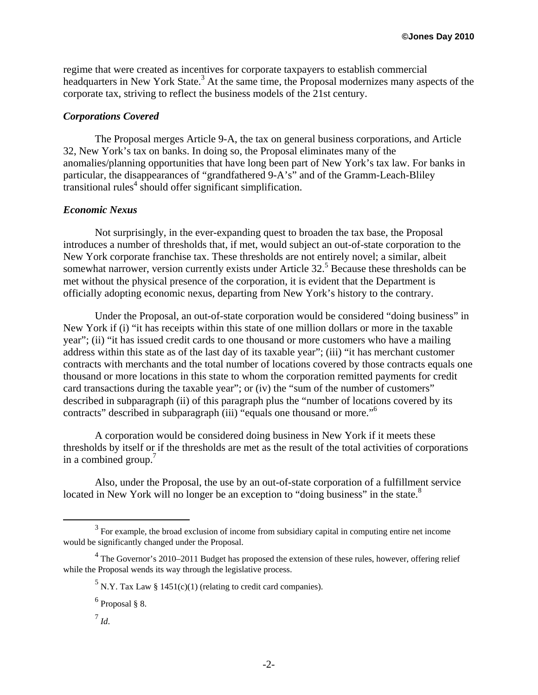regime that were created as incentives for corporate taxpayers to establish commercial headquarters in New York State.<sup>3</sup> At the same time, the Proposal modernizes many aspects of the corporate tax, striving to reflect the business models of the 21st century.

#### *Corporations Covered*

The Proposal merges Article 9-A, the tax on general business corporations, and Article 32, New York's tax on banks. In doing so, the Proposal eliminates many of the anomalies/planning opportunities that have long been part of New York's tax law. For banks in particular, the disappearances of "grandfathered 9-A's" and of the Gramm-Leach-Bliley transitional rules<sup>4</sup> should offer significant simplification.

#### *Economic Nexus*

Not surprisingly, in the ever-expanding quest to broaden the tax base, the Proposal introduces a number of thresholds that, if met, would subject an out-of-state corporation to the New York corporate franchise tax. These thresholds are not entirely novel; a similar, albeit somewhat narrower, version currently exists under Article  $32<sup>5</sup>$  Because these thresholds can be met without the physical presence of the corporation, it is evident that the Department is officially adopting economic nexus, departing from New York's history to the contrary.

Under the Proposal, an out-of-state corporation would be considered "doing business" in New York if (i) "it has receipts within this state of one million dollars or more in the taxable year"; (ii) "it has issued credit cards to one thousand or more customers who have a mailing address within this state as of the last day of its taxable year"; (iii) "it has merchant customer contracts with merchants and the total number of locations covered by those contracts equals one thousand or more locations in this state to whom the corporation remitted payments for credit card transactions during the taxable year"; or (iv) the "sum of the number of customers" described in subparagraph (ii) of this paragraph plus the "number of locations covered by its contracts" described in subparagraph (iii) "equals one thousand or more."<sup>6</sup>

A corporation would be considered doing business in New York if it meets these thresholds by itself or if the thresholds are met as the result of the total activities of corporations in a combined group.<sup>7</sup>

Also, under the Proposal, the use by an out-of-state corporation of a fulfillment service located in New York will no longer be an exception to "doing business" in the state.<sup>8</sup>

 $\frac{1}{3}$  $3$  For example, the broad exclusion of income from subsidiary capital in computing entire net income would be significantly changed under the Proposal.

 $4$  The Governor's 2010–2011 Budget has proposed the extension of these rules, however, offering relief while the Proposal wends its way through the legislative process.

<sup>&</sup>lt;sup>5</sup> N.Y. Tax Law § 1451(c)(1) (relating to credit card companies).

 $<sup>6</sup>$  Proposal § 8.</sup>

<sup>7</sup> *Id*.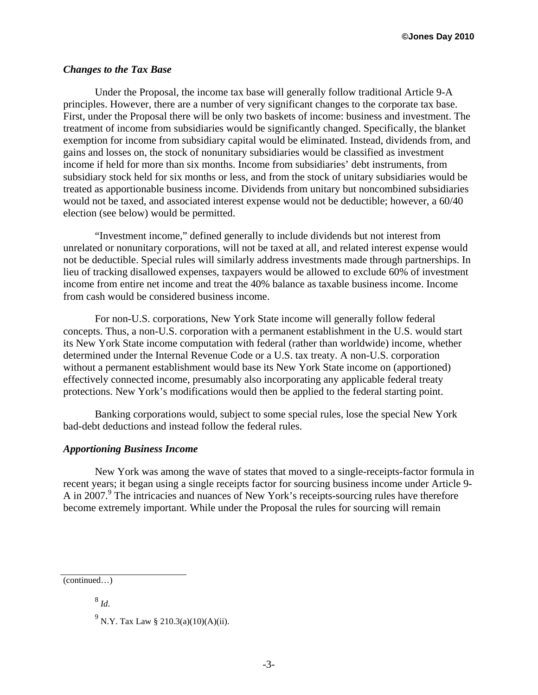#### *Changes to the Tax Base*

Under the Proposal, the income tax base will generally follow traditional Article 9-A principles. However, there are a number of very significant changes to the corporate tax base. First, under the Proposal there will be only two baskets of income: business and investment. The treatment of income from subsidiaries would be significantly changed. Specifically, the blanket exemption for income from subsidiary capital would be eliminated. Instead, dividends from, and gains and losses on, the stock of nonunitary subsidiaries would be classified as investment income if held for more than six months. Income from subsidiaries' debt instruments, from subsidiary stock held for six months or less, and from the stock of unitary subsidiaries would be treated as apportionable business income. Dividends from unitary but noncombined subsidiaries would not be taxed, and associated interest expense would not be deductible; however, a 60/40 election (see below) would be permitted.

"Investment income," defined generally to include dividends but not interest from unrelated or nonunitary corporations, will not be taxed at all, and related interest expense would not be deductible. Special rules will similarly address investments made through partnerships. In lieu of tracking disallowed expenses, taxpayers would be allowed to exclude 60% of investment income from entire net income and treat the 40% balance as taxable business income. Income from cash would be considered business income.

For non-U.S. corporations, New York State income will generally follow federal concepts. Thus, a non-U.S. corporation with a permanent establishment in the U.S. would start its New York State income computation with federal (rather than worldwide) income, whether determined under the Internal Revenue Code or a U.S. tax treaty. A non-U.S. corporation without a permanent establishment would base its New York State income on (apportioned) effectively connected income, presumably also incorporating any applicable federal treaty protections. New York's modifications would then be applied to the federal starting point.

Banking corporations would, subject to some special rules, lose the special New York bad-debt deductions and instead follow the federal rules.

#### *Apportioning Business Income*

New York was among the wave of states that moved to a single-receipts-factor formula in recent years; it began using a single receipts factor for sourcing business income under Article 9- A in 2007.<sup>9</sup> The intricacies and nuances of New York's receipts-sourcing rules have therefore become extremely important. While under the Proposal the rules for sourcing will remain

<sup>8</sup> *Id*.

<sup>(</sup>continued…)

<sup>&</sup>lt;sup>9</sup> N.Y. Tax Law § 210.3(a)(10)(A)(ii).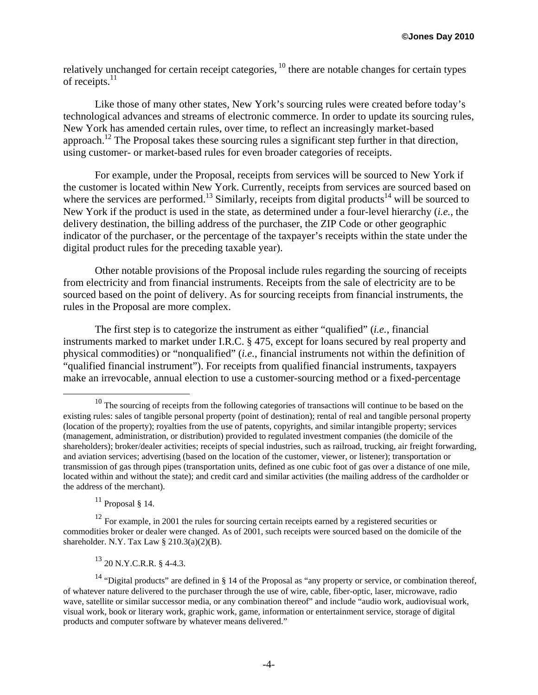relatively unchanged for certain receipt categories, <sup>10</sup> there are notable changes for certain types of receipts.<sup>11</sup>

Like those of many other states, New York's sourcing rules were created before today's technological advances and streams of electronic commerce. In order to update its sourcing rules, New York has amended certain rules, over time, to reflect an increasingly market-based approach.<sup>12</sup> The Proposal takes these sourcing rules a significant step further in that direction, using customer- or market-based rules for even broader categories of receipts.

For example, under the Proposal, receipts from services will be sourced to New York if the customer is located within New York. Currently, receipts from services are sourced based on where the services are performed.<sup>13</sup> Similarly, receipts from digital products<sup>14</sup> will be sourced to New York if the product is used in the state, as determined under a four-level hierarchy (*i.e.*, the delivery destination, the billing address of the purchaser, the ZIP Code or other geographic indicator of the purchaser, or the percentage of the taxpayer's receipts within the state under the digital product rules for the preceding taxable year).

Other notable provisions of the Proposal include rules regarding the sourcing of receipts from electricity and from financial instruments. Receipts from the sale of electricity are to be sourced based on the point of delivery. As for sourcing receipts from financial instruments, the rules in the Proposal are more complex.

The first step is to categorize the instrument as either "qualified" (*i.e.*, financial instruments marked to market under I.R.C. § 475, except for loans secured by real property and physical commodities) or "nonqualified" (*i.e.*, financial instruments not within the definition of "qualified financial instrument"). For receipts from qualified financial instruments, taxpayers make an irrevocable, annual election to use a customer-sourcing method or a fixed-percentage

 $11$  Proposal § 14.

<sup>12</sup> For example, in 2001 the rules for sourcing certain receipts earned by a registered securities or commodities broker or dealer were changed. As of 2001, such receipts were sourced based on the domicile of the shareholder. N.Y. Tax Law  $\S$  210.3(a)(2)(B).

 $^{13}$  20 N.Y.C.R.R. § 4-4.3.

<sup>&</sup>lt;sup>10</sup> The sourcing of receipts from the following categories of transactions will continue to be based on the existing rules: sales of tangible personal property (point of destination); rental of real and tangible personal property (location of the property); royalties from the use of patents, copyrights, and similar intangible property; services (management, administration, or distribution) provided to regulated investment companies (the domicile of the shareholders); broker/dealer activities; receipts of special industries, such as railroad, trucking, air freight forwarding, and aviation services; advertising (based on the location of the customer, viewer, or listener); transportation or transmission of gas through pipes (transportation units, defined as one cubic foot of gas over a distance of one mile, located within and without the state); and credit card and similar activities (the mailing address of the cardholder or the address of the merchant).

<sup>&</sup>lt;sup>14</sup> "Digital products" are defined in § 14 of the Proposal as "any property or service, or combination thereof, of whatever nature delivered to the purchaser through the use of wire, cable, fiber-optic, laser, microwave, radio wave, satellite or similar successor media, or any combination thereof" and include "audio work, audiovisual work, visual work, book or literary work, graphic work, game, information or entertainment service, storage of digital products and computer software by whatever means delivered."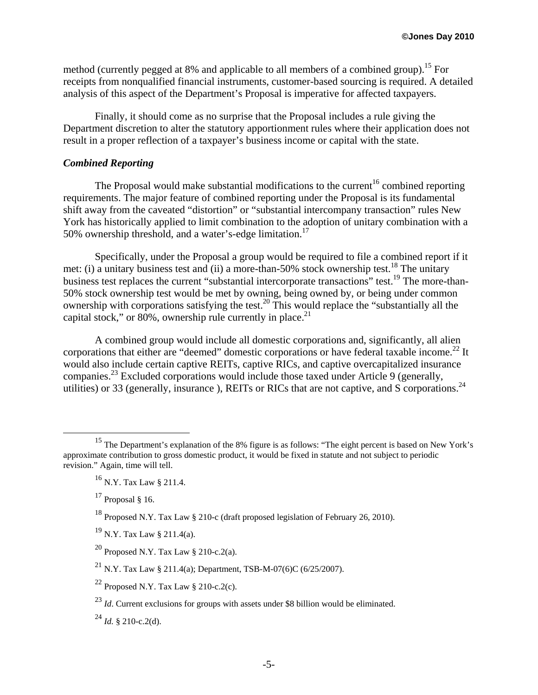method (currently pegged at 8% and applicable to all members of a combined group).<sup>15</sup> For receipts from nonqualified financial instruments, customer-based sourcing is required. A detailed analysis of this aspect of the Department's Proposal is imperative for affected taxpayers.

Finally, it should come as no surprise that the Proposal includes a rule giving the Department discretion to alter the statutory apportionment rules where their application does not result in a proper reflection of a taxpayer's business income or capital with the state.

## *Combined Reporting*

The Proposal would make substantial modifications to the current<sup>16</sup> combined reporting requirements. The major feature of combined reporting under the Proposal is its fundamental shift away from the caveated "distortion" or "substantial intercompany transaction" rules New York has historically applied to limit combination to the adoption of unitary combination with a 50% ownership threshold, and a water's-edge limitation.<sup>17</sup>

Specifically, under the Proposal a group would be required to file a combined report if it met: (i) a unitary business test and (ii) a more-than-50% stock ownership test.<sup>18</sup> The unitary business test replaces the current "substantial intercorporate transactions" test.<sup>19</sup> The more-than-50% stock ownership test would be met by owning, being owned by, or being under common ownership with corporations satisfying the test.<sup>20</sup> This would replace the "substantially all the capital stock," or 80%, ownership rule currently in place. $^{21}$ 

A combined group would include all domestic corporations and, significantly, all alien corporations that either are "deemed" domestic corporations or have federal taxable income.<sup>22</sup> It would also include certain captive REITs, captive RICs, and captive overcapitalized insurance companies.<sup>23</sup> Excluded corporations would include those taxed under Article 9 (generally, utilities) or 33 (generally, insurance), REITs or RICs that are not captive, and S corporations.<sup>24</sup>

 <sup>15</sup> The Department's explanation of the 8% figure is as follows: "The eight percent is based on New York's approximate contribution to gross domestic product, it would be fixed in statute and not subject to periodic revision." Again, time will tell.

<sup>16</sup> N.Y. Tax Law § 211.4.

 $17$  Proposal § 16.

<sup>18</sup> Proposed N.Y. Tax Law § 210-c (draft proposed legislation of February 26, 2010).

<sup>19</sup> N.Y. Tax Law § 211.4(a).

<sup>&</sup>lt;sup>20</sup> Proposed N.Y. Tax Law § 210-c.2(a).

<sup>&</sup>lt;sup>21</sup> N.Y. Tax Law § 211.4(a); Department, TSB-M-07(6)C (6/25/2007).

<sup>&</sup>lt;sup>22</sup> Proposed N.Y. Tax Law  $\S$  210-c.2(c).

<sup>&</sup>lt;sup>23</sup> *Id*. Current exclusions for groups with assets under \$8 billion would be eliminated.

 $^{24}$  *Id.* § 210-c.2(d).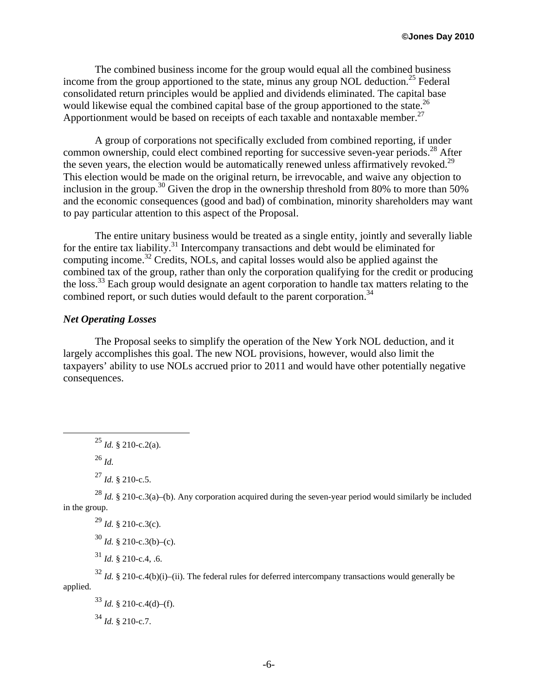The combined business income for the group would equal all the combined business income from the group apportioned to the state, minus any group NOL deduction.<sup>25</sup> Federal consolidated return principles would be applied and dividends eliminated. The capital base would likewise equal the combined capital base of the group apportioned to the state.<sup>26</sup> Apportionment would be based on receipts of each taxable and nontaxable member.<sup>27</sup>

A group of corporations not specifically excluded from combined reporting, if under common ownership, could elect combined reporting for successive seven-year periods.<sup>28</sup> After the seven years, the election would be automatically renewed unless affirmatively revoked.<sup>29</sup> This election would be made on the original return, be irrevocable, and waive any objection to inclusion in the group.<sup>30</sup> Given the drop in the ownership threshold from 80% to more than 50% and the economic consequences (good and bad) of combination, minority shareholders may want to pay particular attention to this aspect of the Proposal.

The entire unitary business would be treated as a single entity, jointly and severally liable for the entire tax liability.<sup>31</sup> Intercompany transactions and debt would be eliminated for computing income.32 Credits, NOLs, and capital losses would also be applied against the combined tax of the group, rather than only the corporation qualifying for the credit or producing the loss.<sup>33</sup> Each group would designate an agent corporation to handle tax matters relating to the combined report, or such duties would default to the parent corporation.<sup>34</sup>

### *Net Operating Losses*

The Proposal seeks to simplify the operation of the New York NOL deduction, and it largely accomplishes this goal. The new NOL provisions, however, would also limit the taxpayers' ability to use NOLs accrued prior to 2011 and would have other potentially negative consequences.

<sup>26</sup> *Id.*

 $^{27}$  *Id.* § 210-c.5.

<sup>28</sup> *Id.* § 210-c.3(a)–(b). Any corporation acquired during the seven-year period would similarly be included in the group.

 $^{29}$  *Id.* § 210-c.3(c).

 $30$  *Id.* § 210-c.3(b)–(c).

 $^{31}$  *Id.* § 210-c.4, .6.

 $32$  *Id.* § 210-c.4(b)(i)–(ii). The federal rules for deferred intercompany transactions would generally be applied.

 $^{33}$  *Id.* § 210-c.4(d)–(f).  $^{34}$  *Id.* § 210-c.7.

 $^{25}$  *Id.* § 210-c.2(a).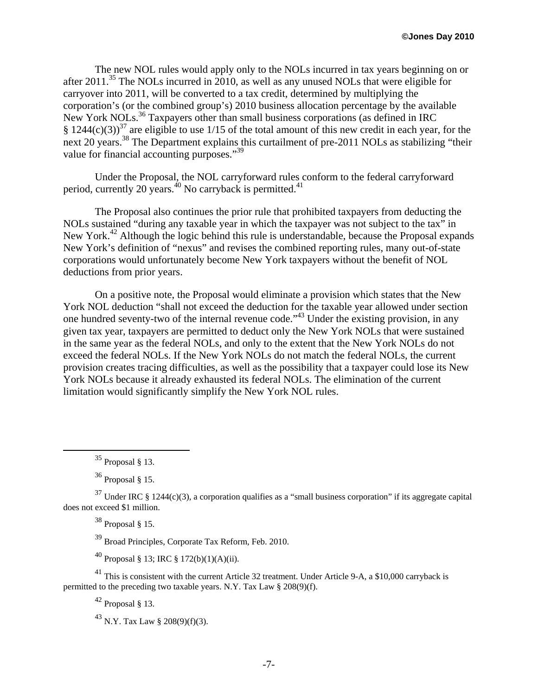The new NOL rules would apply only to the NOLs incurred in tax years beginning on or after 2011.35 The NOLs incurred in 2010, as well as any unused NOLs that were eligible for carryover into 2011, will be converted to a tax credit, determined by multiplying the corporation's (or the combined group's) 2010 business allocation percentage by the available New York NOLs.<sup>36</sup> Taxpayers other than small business corporations (as defined in IRC § 1244(c)(3))<sup>37</sup> are eligible to use 1/15 of the total amount of this new credit in each year, for the next 20 years.<sup>38</sup> The Department explains this curtailment of pre-2011 NOLs as stabilizing "their value for financial accounting purposes."<sup>39</sup>

Under the Proposal, the NOL carryforward rules conform to the federal carryforward period, currently 20 years.<sup>40</sup> No carryback is permitted.<sup>41</sup>

The Proposal also continues the prior rule that prohibited taxpayers from deducting the NOLs sustained "during any taxable year in which the taxpayer was not subject to the tax" in New York.<sup>42</sup> Although the logic behind this rule is understandable, because the Proposal expands New York's definition of "nexus" and revises the combined reporting rules, many out-of-state corporations would unfortunately become New York taxpayers without the benefit of NOL deductions from prior years.

On a positive note, the Proposal would eliminate a provision which states that the New York NOL deduction "shall not exceed the deduction for the taxable year allowed under section one hundred seventy-two of the internal revenue code."43 Under the existing provision, in any given tax year, taxpayers are permitted to deduct only the New York NOLs that were sustained in the same year as the federal NOLs, and only to the extent that the New York NOLs do not exceed the federal NOLs. If the New York NOLs do not match the federal NOLs, the current provision creates tracing difficulties, as well as the possibility that a taxpayer could lose its New York NOLs because it already exhausted its federal NOLs. The elimination of the current limitation would significantly simplify the New York NOL rules.

 $38$  Proposal § 15.

39 Broad Principles, Corporate Tax Reform, Feb. 2010.

40 Proposal § 13; IRC § 172(b)(1)(A)(ii).

<sup>41</sup> This is consistent with the current Article 32 treatment. Under Article 9-A, a \$10,000 carryback is permitted to the preceding two taxable years. N.Y. Tax Law § 208(9)(f).

 $42$  Proposal § 13.

 $^{43}$  N.Y. Tax Law § 208(9)(f)(3).

 $35$  Proposal  $\frac{8}{3}$  13.

 $36$  Proposal § 15.

 $37$  Under IRC § 1244(c)(3), a corporation qualifies as a "small business corporation" if its aggregate capital does not exceed \$1 million.